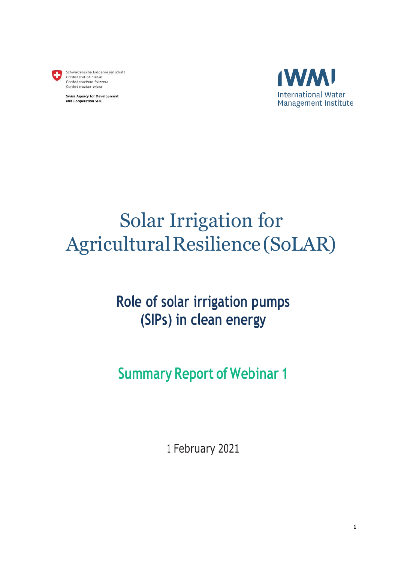

Schweizerische Eidgenossenschaft<br>Confédération suisse Confederazione Svizzera Confederaziun svizra

**Swiss Agency for Development** and Cooperation SDC



# Solar Irrigation for Agricultural Resilience (SoLAR)

## **Role of solar irrigation pumps (SIPs) in clean energy**

## **Summary Report of Webinar 1**

<sup>1</sup> February 2021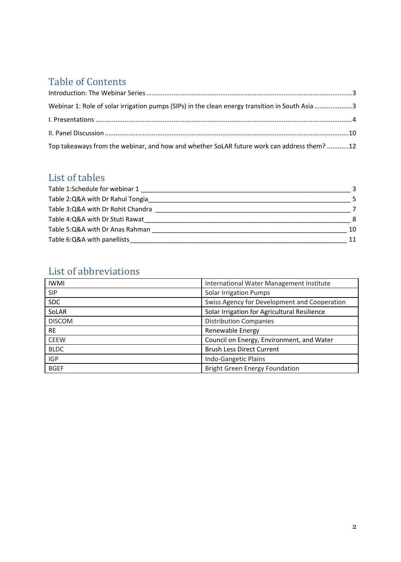## Table of Contents

| Webinar 1: Role of solar irrigation pumps (SIPs) in the clean energy transition in South Asia 3 |  |
|-------------------------------------------------------------------------------------------------|--|
|                                                                                                 |  |
|                                                                                                 |  |
| Top takeaways from the webinar, and how and whether SoLAR future work can address them? 12      |  |

### List of tables

| Table 1:Schedule for webinar 1    |    |
|-----------------------------------|----|
| Table 2:Q&A with Dr Rahul Tongia  |    |
| Table 3:Q&A with Dr Rohit Chandra |    |
| Table 4:Q&A with Dr Stuti Rawat   | 8  |
| Table 5:Q&A with Dr Anas Rahman   | 10 |
| Table 6:Q&A with panellists       | 11 |

## List of abbreviations

| <b>IWMI</b>   | International Water Management Institute     |
|---------------|----------------------------------------------|
| <b>SIP</b>    | <b>Solar Irrigation Pumps</b>                |
| <b>SDC</b>    | Swiss Agency for Development and Cooperation |
| SoLAR         | Solar Irrigation for Agricultural Resilience |
| <b>DISCOM</b> | <b>Distribution Companies</b>                |
| <b>RE</b>     | Renewable Energy                             |
| <b>CEEW</b>   | Council on Energy, Environment, and Water    |
| <b>BLDC</b>   | <b>Brush Less Direct Current</b>             |
| <b>IGP</b>    | Indo-Gangetic Plains                         |
| <b>BGEF</b>   | <b>Bright Green Energy Foundation</b>        |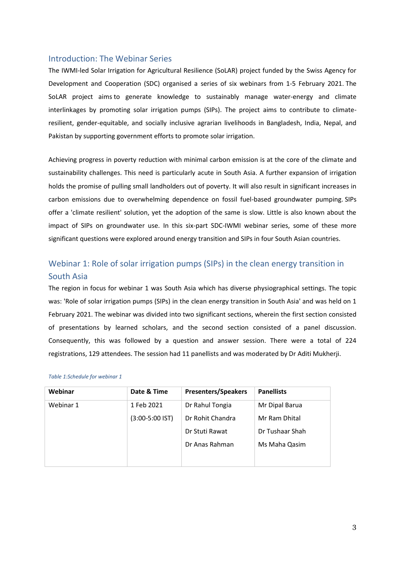#### <span id="page-2-0"></span>Introduction: The Webinar Series

The IWMI-led Solar Irrigation for Agricultural Resilience (SoLAR) project funded by the Swiss Agency for Development and Cooperation (SDC) organised a series of six webinars from 1-5 February 2021. The SoLAR project aims to generate knowledge to sustainably manage water-energy and climate interlinkages by promoting solar irrigation pumps (SIPs). The project aims to contribute to climateresilient, gender-equitable, and socially inclusive agrarian livelihoods in Bangladesh, India, Nepal, and Pakistan by supporting government efforts to promote solar irrigation.

Achieving progress in poverty reduction with minimal carbon emission is at the core of the climate and sustainability challenges. This need is particularly acute in South Asia. A further expansion of irrigation holds the promise of pulling small landholders out of poverty. It will also result in significant increases in carbon emissions due to overwhelming dependence on fossil fuel-based groundwater pumping. SIPs offer a 'climate resilient' solution, yet the adoption of the same is slow. Little is also known about the impact of SIPs on groundwater use. In this six-part SDC-IWMI webinar series, some of these more significant questions were explored around energy transition and SIPs in four South Asian countries.

### <span id="page-2-1"></span>Webinar 1: Role of solar irrigation pumps (SIPs) in the clean energy transition in South Asia

The region in focus for webinar 1 was South Asia which has diverse physiographical settings. The topic was: 'Role of solar irrigation pumps (SIPs) in the clean energy transition in South Asia' and was held on 1 February 2021. The webinar was divided into two significant sections, wherein the first section consisted of presentations by learned scholars, and the second section consisted of a panel discussion. Consequently, this was followed by a question and answer session. There were a total of 224 registrations, 129 attendees. The session had 11 panellists and was moderated by Dr Aditi Mukherji.

#### <span id="page-2-2"></span>*Table 1:Schedule for webinar 1*

| Webinar   | Date & Time       | <b>Presenters/Speakers</b> | <b>Panellists</b> |
|-----------|-------------------|----------------------------|-------------------|
| Webinar 1 | 1 Feb 2021        | Dr Rahul Tongia            | Mr Dipal Barua    |
|           | $(3:00-5:00$ IST) | Dr Rohit Chandra           | Mr Ram Dhital     |
|           |                   | Dr Stuti Rawat             | Dr Tushaar Shah   |
|           |                   | Dr Anas Rahman             | Ms Maha Qasim     |
|           |                   |                            |                   |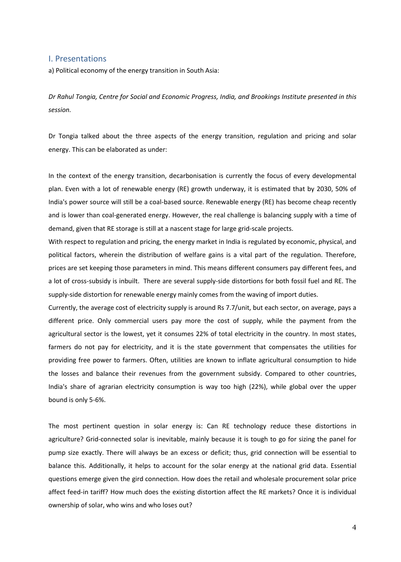#### <span id="page-3-0"></span>I. Presentations

a) Political economy of the energy transition in South Asia:

*Dr Rahul Tongia, Centre for Social and Economic Progress, India, and Brookings Institute presented in this session.*

Dr Tongia talked about the three aspects of the energy transition, regulation and pricing and solar energy. This can be elaborated as under:

In the context of the energy transition, decarbonisation is currently the focus of every developmental plan. Even with a lot of renewable energy (RE) growth underway, it is estimated that by 2030, 50% of India's power source will still be a coal-based source. Renewable energy (RE) has become cheap recently and is lower than coal-generated energy. However, the real challenge is balancing supply with a time of demand, given that RE storage is still at a nascent stage for large grid-scale projects.

With respect to regulation and pricing, the energy market in India is regulated by economic, physical, and political factors, wherein the distribution of welfare gains is a vital part of the regulation. Therefore, prices are set keeping those parameters in mind. This means different consumers pay different fees, and a lot of cross-subsidy is inbuilt. There are several supply-side distortions for both fossil fuel and RE. The supply-side distortion for renewable energy mainly comes from the waving of import duties.

Currently, the average cost of electricity supply is around Rs 7.7/unit, but each sector, on average, pays a different price. Only commercial users pay more the cost of supply, while the payment from the agricultural sector is the lowest, yet it consumes 22% of total electricity in the country. In most states, farmers do not pay for electricity, and it is the state government that compensates the utilities for providing free power to farmers. Often, utilities are known to inflate agricultural consumption to hide the losses and balance their revenues from the government subsidy. Compared to other countries, India's share of agrarian electricity consumption is way too high (22%), while global over the upper bound is only 5-6%.

The most pertinent question in solar energy is: Can RE technology reduce these distortions in agriculture? Grid-connected solar is inevitable, mainly because it is tough to go for sizing the panel for pump size exactly. There will always be an excess or deficit; thus, grid connection will be essential to balance this. Additionally, it helps to account for the solar energy at the national grid data. Essential questions emerge given the gird connection. How does the retail and wholesale procurement solar price affect feed-in tariff? How much does the existing distortion affect the RE markets? Once it is individual ownership of solar, who wins and who loses out?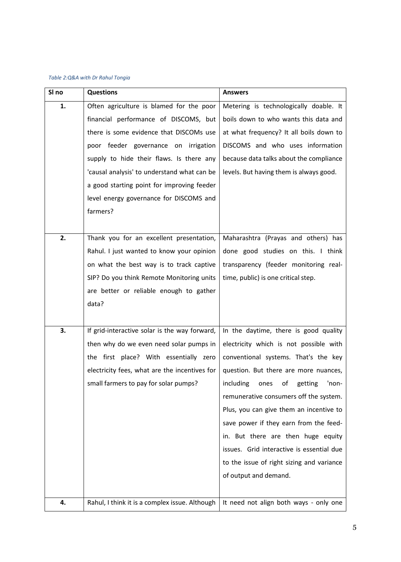#### <span id="page-4-0"></span>*Table 2:Q&A with Dr Rahul Tongia*

| SI no | <b>Questions</b>                               | <b>Answers</b>                              |
|-------|------------------------------------------------|---------------------------------------------|
| 1.    | Often agriculture is blamed for the poor       | Metering is technologically doable. It      |
|       | financial performance of DISCOMS, but          | boils down to who wants this data and       |
|       | there is some evidence that DISCOMs use        | at what frequency? It all boils down to     |
|       | poor feeder governance on irrigation           | DISCOMS and who uses information            |
|       | supply to hide their flaws. Is there any       | because data talks about the compliance     |
|       | 'causal analysis' to understand what can be    | levels. But having them is always good.     |
|       | a good starting point for improving feeder     |                                             |
|       | level energy governance for DISCOMS and        |                                             |
|       | farmers?                                       |                                             |
|       |                                                |                                             |
| 2.    | Thank you for an excellent presentation,       | Maharashtra (Prayas and others) has         |
|       | Rahul. I just wanted to know your opinion      | done good studies on this. I think          |
|       | on what the best way is to track captive       | transparency (feeder monitoring real-       |
|       | SIP? Do you think Remote Monitoring units      | time, public) is one critical step.         |
|       | are better or reliable enough to gather        |                                             |
|       | data?                                          |                                             |
|       |                                                |                                             |
| 3.    | If grid-interactive solar is the way forward,  | In the daytime, there is good quality       |
|       | then why do we even need solar pumps in        | electricity which is not possible with      |
|       | the first place? With essentially zero         | conventional systems. That's the key        |
|       | electricity fees, what are the incentives for  | question. But there are more nuances,       |
|       | small farmers to pay for solar pumps?          | including<br>getting<br>ones<br>οf<br>'non- |
|       |                                                | remunerative consumers off the system.      |
|       |                                                | Plus, you can give them an incentive to     |
|       |                                                | save power if they earn from the feed-      |
|       |                                                | in. But there are then huge equity          |
|       |                                                | issues. Grid interactive is essential due   |
|       |                                                | to the issue of right sizing and variance   |
|       |                                                | of output and demand.                       |
|       |                                                |                                             |
| 4.    | Rahul, I think it is a complex issue. Although | It need not align both ways - only one      |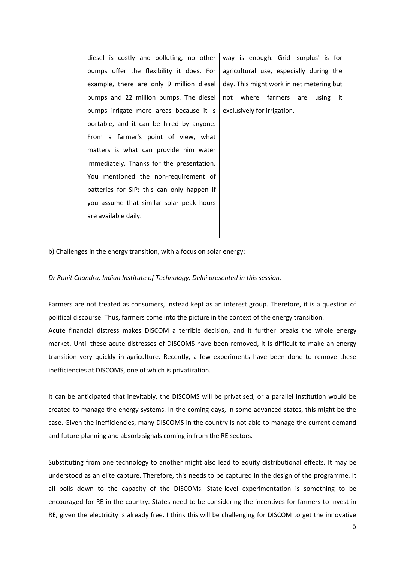| diesel is costly and polluting, no other   | way is enough. Grid 'surplus' is for     |
|--------------------------------------------|------------------------------------------|
| pumps offer the flexibility it does. For   | agricultural use, especially during the  |
| example, there are only 9 million diesel   | day. This might work in net metering but |
| pumps and 22 million pumps. The diesel     | not where farmers<br>are using it        |
| pumps irrigate more areas because it is    | exclusively for irrigation.              |
| portable, and it can be hired by anyone.   |                                          |
| From a farmer's point of view, what        |                                          |
| matters is what can provide him water      |                                          |
| immediately. Thanks for the presentation.  |                                          |
| You mentioned the non-requirement of       |                                          |
| batteries for SIP: this can only happen if |                                          |
| you assume that similar solar peak hours   |                                          |
| are available daily.                       |                                          |
|                                            |                                          |

b) Challenges in the energy transition, with a focus on solar energy:

#### *Dr Rohit Chandra, Indian Institute of Technology, Delhi presented in this session.*

Farmers are not treated as consumers, instead kept as an interest group. Therefore, it is a question of political discourse. Thus, farmers come into the picture in the context of the energy transition. Acute financial distress makes DISCOM a terrible decision, and it further breaks the whole energy market. Until these acute distresses of DISCOMS have been removed, it is difficult to make an energy transition very quickly in agriculture. Recently, a few experiments have been done to remove these inefficiencies at DISCOMS, one of which is privatization.

It can be anticipated that inevitably, the DISCOMS will be privatised, or a parallel institution would be created to manage the energy systems. In the coming days, in some advanced states, this might be the case. Given the inefficiencies, many DISCOMS in the country is not able to manage the current demand and future planning and absorb signals coming in from the RE sectors.

Substituting from one technology to another might also lead to equity distributional effects. It may be understood as an elite capture. Therefore, this needs to be captured in the design of the programme. It all boils down to the capacity of the DISCOMs. State-level experimentation is something to be encouraged for RE in the country. States need to be considering the incentives for farmers to invest in RE, given the electricity is already free. I think this will be challenging for DISCOM to get the innovative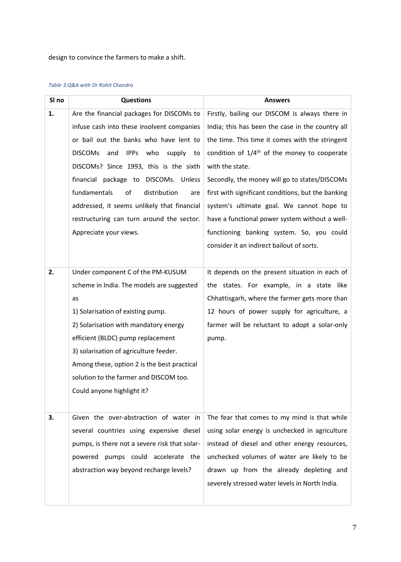design to convince the farmers to make a shift.

#### <span id="page-6-0"></span>*Table 3:Q&A with Dr Rohit Chandra*

| SI no | <b>Questions</b>                                            | <b>Answers</b>                                     |
|-------|-------------------------------------------------------------|----------------------------------------------------|
| 1.    | Are the financial packages for DISCOMs to                   | Firstly, bailing our DISCOM is always there in     |
|       | infuse cash into these insolvent companies                  | India; this has been the case in the country all   |
|       | or bail out the banks who have lent to                      | the time. This time it comes with the stringent    |
|       | <b>DISCOMS</b><br><b>IPPS</b><br>who<br>and<br>supply<br>to | condition of $1/4th$ of the money to cooperate     |
|       | DISCOMs? Since 1993, this is the sixth                      | with the state.                                    |
|       | financial package to DISCOMs. Unless                        | Secondly, the money will go to states/DISCOMs      |
|       | fundamentals<br>of<br>distribution<br>are                   | first with significant conditions, but the banking |
|       | addressed, it seems unlikely that financial                 | system's ultimate goal. We cannot hope to          |
|       | restructuring can turn around the sector.                   | have a functional power system without a well-     |
|       | Appreciate your views.                                      | functioning banking system. So, you could          |
|       |                                                             | consider it an indirect bailout of sorts.          |
|       |                                                             |                                                    |
| 2.    | Under component C of the PM-KUSUM                           | It depends on the present situation in each of     |
|       | scheme in India. The models are suggested                   | the states. For example, in a state like           |
|       | as                                                          | Chhattisgarh, where the farmer gets more than      |
|       | 1) Solarisation of existing pump.                           | 12 hours of power supply for agriculture, a        |
|       | 2) Solarisation with mandatory energy                       | farmer will be reluctant to adopt a solar-only     |
|       | efficient (BLDC) pump replacement                           | pump.                                              |
|       | 3) solarisation of agriculture feeder.                      |                                                    |
|       | Among these, option 2 is the best practical                 |                                                    |
|       | solution to the farmer and DISCOM too.                      |                                                    |
|       | Could anyone highlight it?                                  |                                                    |
|       |                                                             |                                                    |
| 3.    | Given the over-abstraction of water in                      | The fear that comes to my mind is that while       |
|       | several countries using expensive diesel                    | using solar energy is unchecked in agriculture     |
|       | pumps, is there not a severe risk that solar-               | instead of diesel and other energy resources,      |
|       | pumps could accelerate the<br>powered                       | unchecked volumes of water are likely to be        |
|       | abstraction way beyond recharge levels?                     | drawn up from the already depleting and            |
|       |                                                             | severely stressed water levels in North India.     |
|       |                                                             |                                                    |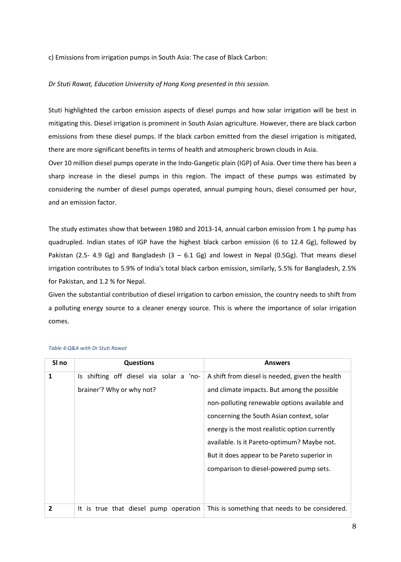c) Emissions from irrigation pumps in South Asia: The case of Black Carbon:

#### *Dr Stuti Rawat, Education University of Hong Kong presented in this session.*

Stuti highlighted the carbon emission aspects of diesel pumps and how solar irrigation will be best in mitigating this. Diesel irrigation is prominent in South Asian agriculture. However, there are black carbon emissions from these diesel pumps. If the black carbon emitted from the diesel irrigation is mitigated, there are more significant benefits in terms of health and atmospheric brown clouds in Asia.

Over 10 million diesel pumps operate in the Indo-Gangetic plain (IGP) of Asia. Over time there has been a sharp increase in the diesel pumps in this region. The impact of these pumps was estimated by considering the number of diesel pumps operated, annual pumping hours, diesel consumed per hour, and an emission factor.

The study estimates show that between 1980 and 2013-14, annual carbon emission from 1 hp pump has quadrupled. Indian states of IGP have the highest black carbon emission (6 to 12.4 Gg), followed by Pakistan (2.5- 4.9 Gg) and Bangladesh (3 – 6.1 Gg) and lowest in Nepal (0.5Gg). That means diesel irrigation contributes to 5.9% of India's total black carbon emission, similarly, 5.5% for Bangladesh, 2.5% for Pakistan, and 1.2 % for Nepal.

Given the substantial contribution of diesel irrigation to carbon emission, the country needs to shift from a polluting energy source to a cleaner energy source. This is where the importance of solar irrigation comes.

| SI no          | <b>Questions</b>                        | <b>Answers</b>                                  |
|----------------|-----------------------------------------|-------------------------------------------------|
| 1              | Is shifting off diesel via solar a 'no- | A shift from diesel is needed, given the health |
|                | brainer'? Why or why not?               | and climate impacts. But among the possible     |
|                |                                         | non-polluting renewable options available and   |
|                |                                         | concerning the South Asian context, solar       |
|                |                                         | energy is the most realistic option currently   |
|                |                                         | available. Is it Pareto-optimum? Maybe not.     |
|                |                                         | But it does appear to be Pareto superior in     |
|                |                                         | comparison to diesel-powered pump sets.         |
|                |                                         |                                                 |
|                |                                         |                                                 |
| $\overline{2}$ | It is true that diesel pump operation   | This is something that needs to be considered.  |

#### <span id="page-7-0"></span>*Table 4:Q&A with Dr Stuti Rawat*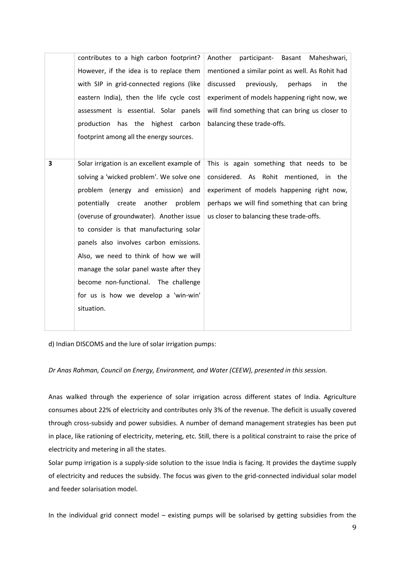|   | contributes to a high carbon footprint?     | Another<br>participant-<br>Basant<br>Maheshwari, |
|---|---------------------------------------------|--------------------------------------------------|
|   | However, if the idea is to replace them     | mentioned a similar point as well. As Rohit had  |
|   | with SIP in grid-connected regions (like    | discussed<br>previously,<br>perhaps<br>the<br>in |
|   | eastern India), then the life cycle cost    | experiment of models happening right now, we     |
|   | assessment is essential. Solar panels       | will find something that can bring us closer to  |
|   | production has the highest carbon           | balancing these trade-offs.                      |
|   | footprint among all the energy sources.     |                                                  |
|   |                                             |                                                  |
| 3 | Solar irrigation is an excellent example of | This is again something that needs to be         |
|   | solving a 'wicked problem'. We solve one    | considered. As Rohit mentioned, in the           |
|   | problem (energy and emission) and           | experiment of models happening right now,        |
|   | another<br>potentially<br>create<br>problem | perhaps we will find something that can bring    |
|   | (overuse of groundwater). Another issue     | us closer to balancing these trade-offs.         |
|   | to consider is that manufacturing solar     |                                                  |
|   | panels also involves carbon emissions.      |                                                  |
|   | Also, we need to think of how we will       |                                                  |
|   | manage the solar panel waste after they     |                                                  |
|   |                                             |                                                  |
|   | become non-functional. The challenge        |                                                  |
|   | for us is how we develop a 'win-win'        |                                                  |
|   | situation.                                  |                                                  |
|   |                                             |                                                  |

d) Indian DISCOMS and the lure of solar irrigation pumps:

*Dr Anas Rahman, Council on Energy, Environment, and Water (CEEW), presented in this session.*

Anas walked through the experience of solar irrigation across different states of India. Agriculture consumes about 22% of electricity and contributes only 3% of the revenue. The deficit is usually covered through cross-subsidy and power subsidies. A number of demand management strategies has been put in place, like rationing of electricity, metering, etc. Still, there is a political constraint to raise the price of electricity and metering in all the states.

Solar pump irrigation is a supply-side solution to the issue India is facing. It provides the daytime supply of electricity and reduces the subsidy. The focus was given to the grid-connected individual solar model and feeder solarisation model.

In the individual grid connect model – existing pumps will be solarised by getting subsidies from the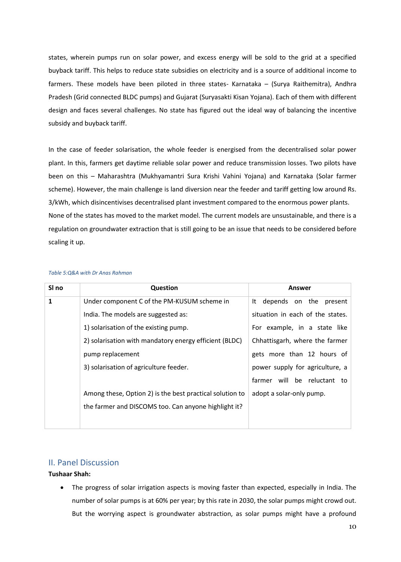states, wherein pumps run on solar power, and excess energy will be sold to the grid at a specified buyback tariff. This helps to reduce state subsidies on electricity and is a source of additional income to farmers. These models have been piloted in three states- Karnataka – (Surya Raithemitra), Andhra Pradesh (Grid connected BLDC pumps) and Gujarat (Suryasakti Kisan Yojana). Each of them with different design and faces several challenges. No state has figured out the ideal way of balancing the incentive subsidy and buyback tariff.

In the case of feeder solarisation, the whole feeder is energised from the decentralised solar power plant. In this, farmers get daytime reliable solar power and reduce transmission losses. Two pilots have been on this – Maharashtra (Mukhyamantri Sura Krishi Vahini Yojana) and Karnataka (Solar farmer scheme). However, the main challenge is land diversion near the feeder and tariff getting low around Rs. 3/kWh, which disincentivises decentralised plant investment compared to the enormous power plants. None of the states has moved to the market model. The current models are unsustainable, and there is a regulation on groundwater extraction that is still going to be an issue that needs to be considered before scaling it up.

| SI no | Question                                                 | <b>Answer</b>                    |
|-------|----------------------------------------------------------|----------------------------------|
| 1     | Under component C of the PM-KUSUM scheme in              | It depends on the<br>present     |
|       | India. The models are suggested as:                      | situation in each of the states. |
|       | 1) solarisation of the existing pump.                    | For example, in a state like     |
|       | 2) solarisation with mandatory energy efficient (BLDC)   | Chhattisgarh, where the farmer   |
|       | pump replacement                                         | gets more than 12 hours of       |
|       | 3) solarisation of agriculture feeder.                   | power supply for agriculture, a  |
|       |                                                          | farmer will be reluctant to      |
|       | Among these, Option 2) is the best practical solution to | adopt a solar-only pump.         |
|       | the farmer and DISCOMS too. Can anyone highlight it?     |                                  |
|       |                                                          |                                  |

#### <span id="page-9-1"></span>*Table 5:Q&A with Dr Anas Rahman*

#### <span id="page-9-0"></span>II. Panel Discussion

#### **Tushaar Shah:**

• The progress of solar irrigation aspects is moving faster than expected, especially in India. The number of solar pumps is at 60% per year; by this rate in 2030, the solar pumps might crowd out. But the worrying aspect is groundwater abstraction, as solar pumps might have a profound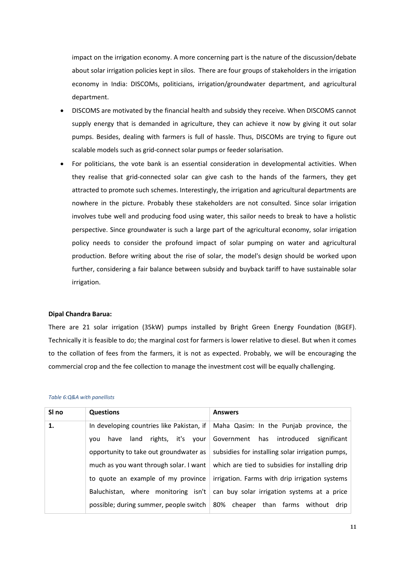impact on the irrigation economy. A more concerning part is the nature of the discussion/debate about solar irrigation policies kept in silos. There are four groups of stakeholders in the irrigation economy in India: DISCOMs, politicians, irrigation/groundwater department, and agricultural department.

- DISCOMS are motivated by the financial health and subsidy they receive. When DISCOMS cannot supply energy that is demanded in agriculture, they can achieve it now by giving it out solar pumps. Besides, dealing with farmers is full of hassle. Thus, DISCOMs are trying to figure out scalable models such as grid-connect solar pumps or feeder solarisation.
- For politicians, the vote bank is an essential consideration in developmental activities. When they realise that grid-connected solar can give cash to the hands of the farmers, they get attracted to promote such schemes. Interestingly, the irrigation and agricultural departments are nowhere in the picture. Probably these stakeholders are not consulted. Since solar irrigation involves tube well and producing food using water, this sailor needs to break to have a holistic perspective. Since groundwater is such a large part of the agricultural economy, solar irrigation policy needs to consider the profound impact of solar pumping on water and agricultural production. Before writing about the rise of solar, the model's design should be worked upon further, considering a fair balance between subsidy and buyback tariff to have sustainable solar irrigation.

#### **Dipal Chandra Barua:**

There are 21 solar irrigation (35kW) pumps installed by Bright Green Energy Foundation (BGEF). Technically it is feasible to do; the marginal cost for farmers is lower relative to diesel. But when it comes to the collation of fees from the farmers, it is not as expected. Probably, we will be encouraging the commercial crop and the fee collection to manage the investment cost will be equally challenging.

#### <span id="page-10-0"></span>*Table 6:Q&A with panellists*

| SI no | <b>Questions</b>                                                      | <b>Answers</b>                                                                      |
|-------|-----------------------------------------------------------------------|-------------------------------------------------------------------------------------|
| 1.    |                                                                       | In developing countries like Pakistan, if   Maha Qasim: In the Punjab province, the |
|       | rights, it's your<br>land<br>have<br>vou                              | Government has introduced<br>significant                                            |
|       | opportunity to take out groundwater as                                | subsidies for installing solar irrigation pumps,                                    |
|       | much as you want through solar. I want                                | which are tied to subsidies for installing drip                                     |
|       | to quote an example of my province                                    | irrigation. Farms with drip irrigation systems                                      |
|       | Baluchistan, where monitoring isn't                                   | can buy solar irrigation systems at a price                                         |
|       | possible; during summer, people switch $\vert$ 80% cheaper than farms | without<br>drip                                                                     |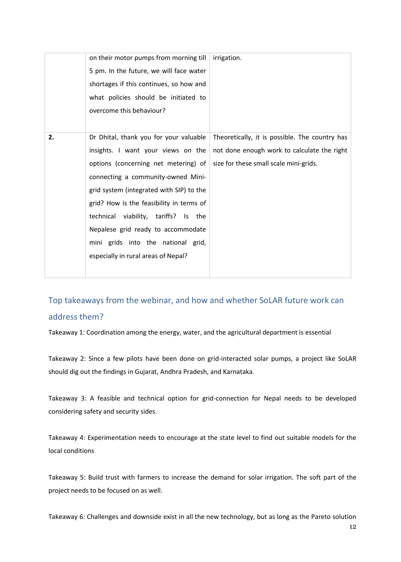|    | on their motor pumps from morning till<br>5 pm. In the future, we will face water<br>shortages if this continues, so how and                                                                                                                                                                                                                                                                                  | irrigation.                                                                                                                             |
|----|---------------------------------------------------------------------------------------------------------------------------------------------------------------------------------------------------------------------------------------------------------------------------------------------------------------------------------------------------------------------------------------------------------------|-----------------------------------------------------------------------------------------------------------------------------------------|
|    | what policies should be initiated to<br>overcome this behaviour?                                                                                                                                                                                                                                                                                                                                              |                                                                                                                                         |
| 2. | Dr Dhital, thank you for your valuable<br>insights. I want your views on the<br>options (concerning net metering) of<br>connecting a community-owned Mini-<br>grid system (integrated with SIP) to the<br>grid? How is the feasibility in terms of<br>technical viability, tariffs? Is the<br>Nepalese grid ready to accommodate<br>mini grids into the national grid,<br>especially in rural areas of Nepal? | Theoretically, it is possible. The country has<br>not done enough work to calculate the right<br>size for these small scale mini-grids. |

<span id="page-11-0"></span>Top takeaways from the webinar, and how and whether SoLAR future work can address them?

Takeaway 1: Coordination among the energy, water, and the agricultural department is essential

Takeaway 2: Since a few pilots have been done on grid-interacted solar pumps, a project like SoLAR should dig out the findings in Gujarat, Andhra Pradesh, and Karnataka.

Takeaway 3: A feasible and technical option for grid-connection for Nepal needs to be developed considering safety and security sides.

Takeaway 4: Experimentation needs to encourage at the state level to find out suitable models for the local conditions

Takeaway 5: Build trust with farmers to increase the demand for solar irrigation. The soft part of the project needs to be focused on as well.

Takeaway 6: Challenges and downside exist in all the new technology, but as long as the Pareto solution